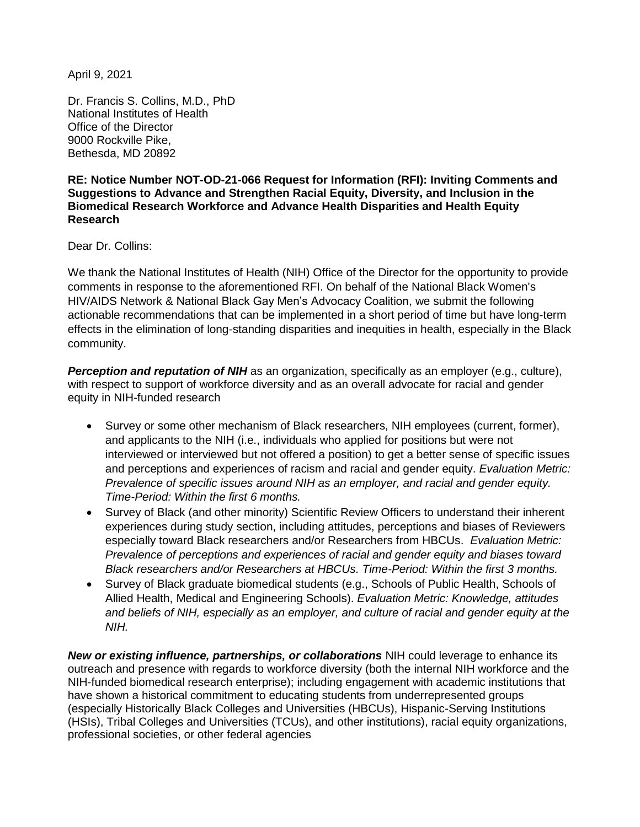April 9, 2021

Dr. Francis S. Collins, M.D., PhD National Institutes of Health Office of the Director 9000 Rockville Pike, Bethesda, MD 20892

#### **RE: Notice Number NOT-OD-21-066 Request for Information (RFI): Inviting Comments and Suggestions to Advance and Strengthen Racial Equity, Diversity, and Inclusion in the Biomedical Research Workforce and Advance Health Disparities and Health Equity Research**

Dear Dr. Collins:

We thank the National Institutes of Health (NIH) Office of the Director for the opportunity to provide comments in response to the aforementioned RFI. On behalf of the National Black Women's HIV/AIDS Network & National Black Gay Men's Advocacy Coalition, we submit the following actionable recommendations that can be implemented in a short period of time but have long-term effects in the elimination of long-standing disparities and inequities in health, especially in the Black community.

**Perception and reputation of NIH** as an organization, specifically as an employer (e.g., culture), with respect to support of workforce diversity and as an overall advocate for racial and gender equity in NIH-funded research

- Survey or some other mechanism of Black researchers, NIH employees (current, former), and applicants to the NIH (i.e., individuals who applied for positions but were not interviewed or interviewed but not offered a position) to get a better sense of specific issues and perceptions and experiences of racism and racial and gender equity. *Evaluation Metric: Prevalence of specific issues around NIH as an employer, and racial and gender equity. Time-Period: Within the first 6 months.*
- Survey of Black (and other minority) Scientific Review Officers to understand their inherent experiences during study section, including attitudes, perceptions and biases of Reviewers especially toward Black researchers and/or Researchers from HBCUs. *Evaluation Metric: Prevalence of perceptions and experiences of racial and gender equity and biases toward Black researchers and/or Researchers at HBCUs. Time-Period: Within the first 3 months.*
- Survey of Black graduate biomedical students (e.g., Schools of Public Health, Schools of Allied Health, Medical and Engineering Schools). *Evaluation Metric: Knowledge, attitudes and beliefs of NIH, especially as an employer, and culture of racial and gender equity at the NIH.*

*New or existing influence, partnerships, or collaborations* NIH could leverage to enhance its outreach and presence with regards to workforce diversity (both the internal NIH workforce and the NIH-funded biomedical research enterprise); including engagement with academic institutions that have shown a historical commitment to educating students from underrepresented groups (especially Historically Black Colleges and Universities (HBCUs), Hispanic-Serving Institutions (HSIs), Tribal Colleges and Universities (TCUs), and other institutions), racial equity organizations, professional societies, or other federal agencies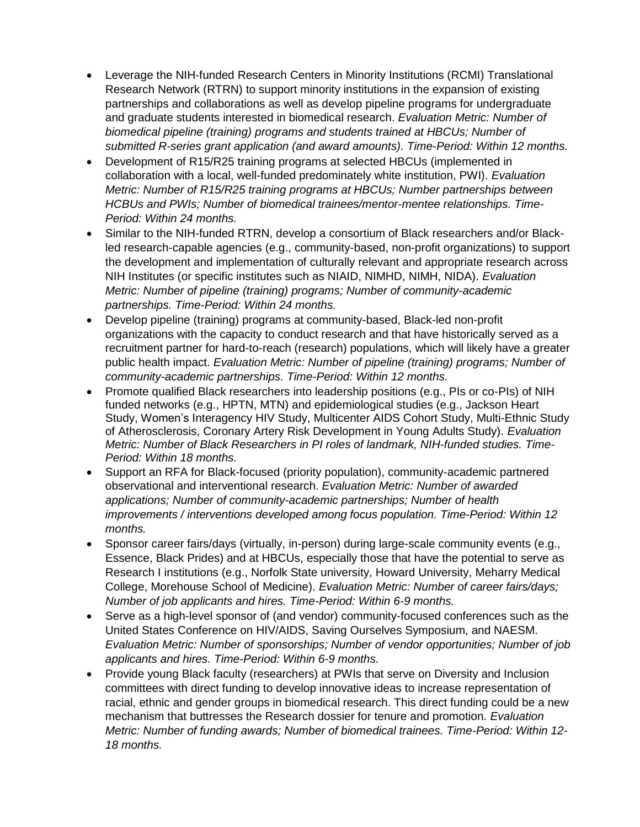- Leverage the NIH-funded Research Centers in Minority Institutions (RCMI) Translational Research Network (RTRN) to support minority institutions in the expansion of existing partnerships and collaborations as well as develop pipeline programs for undergraduate and graduate students interested in biomedical research. *Evaluation Metric: Number of biomedical pipeline (training) programs and students trained at HBCUs; Number of submitted R-series grant application (and award amounts). Time-Period: Within 12 months.*
- Development of R15/R25 training programs at selected HBCUs (implemented in collaboration with a local, well-funded predominately white institution, PWI). *Evaluation Metric: Number of R15/R25 training programs at HBCUs; Number partnerships between HCBUs and PWIs; Number of biomedical trainees/mentor-mentee relationships. Time-Period: Within 24 months.*
- Similar to the NIH-funded RTRN, develop a consortium of Black researchers and/or Blackled research-capable agencies (e.g., community-based, non-profit organizations) to support the development and implementation of culturally relevant and appropriate research across NIH Institutes (or specific institutes such as NIAID, NIMHD, NIMH, NIDA). *Evaluation Metric: Number of pipeline (training) programs; Number of community-academic partnerships. Time-Period: Within 24 months.*
- Develop pipeline (training) programs at community-based, Black-led non-profit organizations with the capacity to conduct research and that have historically served as a recruitment partner for hard-to-reach (research) populations, which will likely have a greater public health impact. *Evaluation Metric: Number of pipeline (training) programs; Number of community-academic partnerships. Time-Period: Within 12 months.*
- Promote qualified Black researchers into leadership positions (e.g., PIs or co-PIs) of NIH funded networks (e.g., HPTN, MTN) and epidemiological studies (e.g., Jackson Heart Study, Women's Interagency HIV Study, Multicenter AIDS Cohort Study, Multi-Ethnic Study of Atherosclerosis, Coronary Artery Risk Development in Young Adults Study). *Evaluation Metric: Number of Black Researchers in PI roles of landmark, NIH-funded studies. Time-Period: Within 18 months.*
- Support an RFA for Black-focused (priority population), community-academic partnered observational and interventional research. *Evaluation Metric: Number of awarded applications; Number of community-academic partnerships; Number of health improvements / interventions developed among focus population. Time-Period: Within 12 months.*
- Sponsor career fairs/days (virtually, in-person) during large-scale community events (e.g., Essence, Black Prides) and at HBCUs, especially those that have the potential to serve as Research I institutions (e.g., Norfolk State university, Howard University, Meharry Medical College, Morehouse School of Medicine). *Evaluation Metric: Number of career fairs/days; Number of job applicants and hires. Time-Period: Within 6-9 months.*
- Serve as a high-level sponsor of (and vendor) community-focused conferences such as the United States Conference on HIV/AIDS, Saving Ourselves Symposium, and NAESM. *Evaluation Metric: Number of sponsorships; Number of vendor opportunities; Number of job applicants and hires. Time-Period: Within 6-9 months.*
- Provide young Black faculty (researchers) at PWIs that serve on Diversity and Inclusion committees with direct funding to develop innovative ideas to increase representation of racial, ethnic and gender groups in biomedical research. This direct funding could be a new mechanism that buttresses the Research dossier for tenure and promotion. *Evaluation Metric: Number of funding awards; Number of biomedical trainees. Time-Period: Within 12- 18 months.*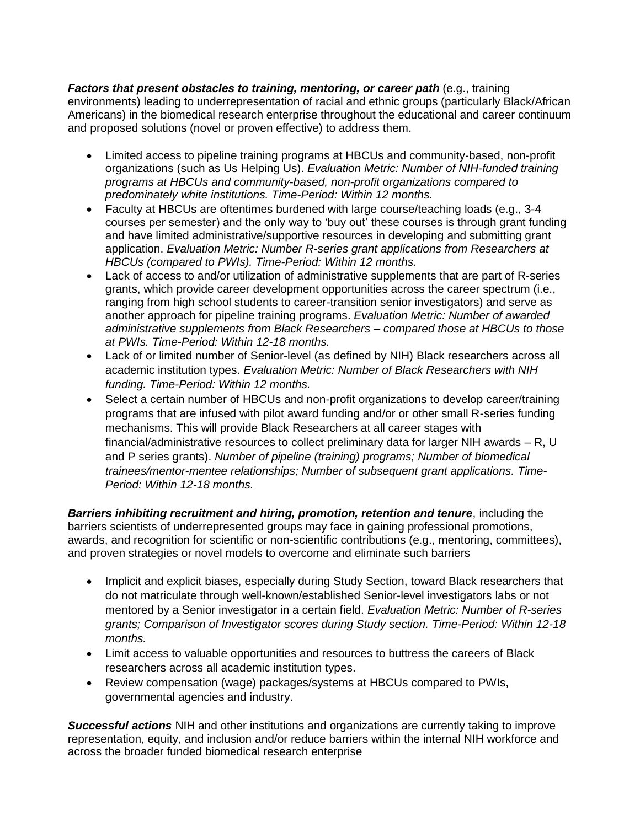*Factors that present obstacles to training, mentoring, or career path* (e.g., training environments) leading to underrepresentation of racial and ethnic groups (particularly Black/African Americans) in the biomedical research enterprise throughout the educational and career continuum and proposed solutions (novel or proven effective) to address them.

- Limited access to pipeline training programs at HBCUs and community-based, non-profit organizations (such as Us Helping Us). *Evaluation Metric: Number of NIH-funded training programs at HBCUs and community-based, non-profit organizations compared to predominately white institutions. Time-Period: Within 12 months.*
- Faculty at HBCUs are oftentimes burdened with large course/teaching loads (e.g., 3-4 courses per semester) and the only way to 'buy out' these courses is through grant funding and have limited administrative/supportive resources in developing and submitting grant application. *Evaluation Metric: Number R-series grant applications from Researchers at HBCUs (compared to PWIs). Time-Period: Within 12 months.*
- Lack of access to and/or utilization of administrative supplements that are part of R-series grants, which provide career development opportunities across the career spectrum (i.e., ranging from high school students to career-transition senior investigators) and serve as another approach for pipeline training programs. *Evaluation Metric: Number of awarded administrative supplements from Black Researchers – compared those at HBCUs to those at PWIs. Time-Period: Within 12-18 months.*
- Lack of or limited number of Senior-level (as defined by NIH) Black researchers across all academic institution types. *Evaluation Metric: Number of Black Researchers with NIH funding. Time-Period: Within 12 months.*
- Select a certain number of HBCUs and non-profit organizations to develop career/training programs that are infused with pilot award funding and/or or other small R-series funding mechanisms. This will provide Black Researchers at all career stages with financial/administrative resources to collect preliminary data for larger NIH awards – R, U and P series grants). *Number of pipeline (training) programs; Number of biomedical trainees/mentor-mentee relationships; Number of subsequent grant applications. Time-Period: Within 12-18 months.*

*Barriers inhibiting recruitment and hiring, promotion, retention and tenure*, including the barriers scientists of underrepresented groups may face in gaining professional promotions, awards, and recognition for scientific or non-scientific contributions (e.g., mentoring, committees), and proven strategies or novel models to overcome and eliminate such barriers

- Implicit and explicit biases, especially during Study Section, toward Black researchers that do not matriculate through well-known/established Senior-level investigators labs or not mentored by a Senior investigator in a certain field. *Evaluation Metric: Number of R-series grants; Comparison of Investigator scores during Study section. Time-Period: Within 12-18 months.*
- Limit access to valuable opportunities and resources to buttress the careers of Black researchers across all academic institution types.
- Review compensation (wage) packages/systems at HBCUs compared to PWIs, governmental agencies and industry.

*Successful actions* NIH and other institutions and organizations are currently taking to improve representation, equity, and inclusion and/or reduce barriers within the internal NIH workforce and across the broader funded biomedical research enterprise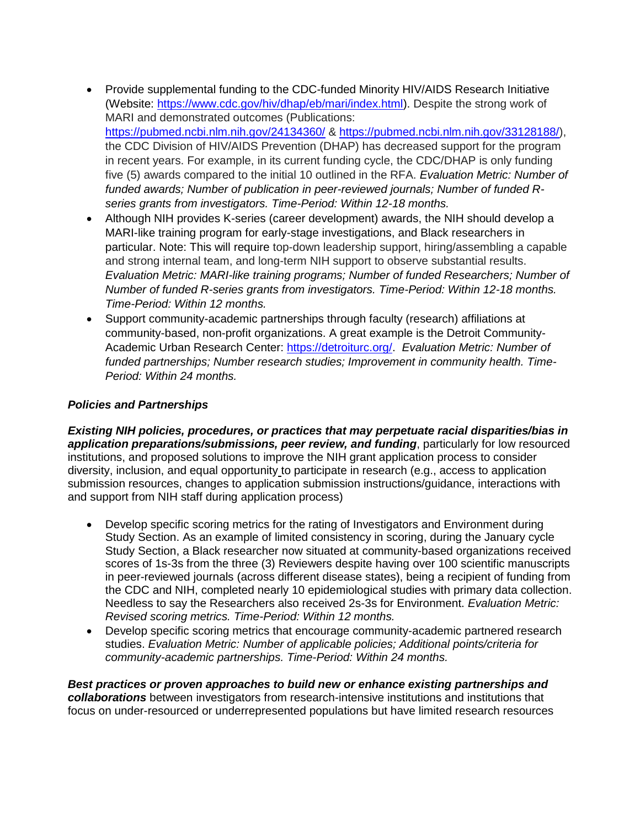- Provide supplemental funding to the CDC-funded Minority HIV/AIDS Research Initiative (Website: [https://www.cdc.gov/hiv/dhap/eb/mari/index.html\)](https://www.cdc.gov/hiv/dhap/eb/mari/index.html). Despite the strong work of MARI and demonstrated outcomes (Publications: <https://pubmed.ncbi.nlm.nih.gov/24134360/> & [https://pubmed.ncbi.nlm.nih.gov/33128188/\)](https://pubmed.ncbi.nlm.nih.gov/33128188/), the CDC Division of HIV/AIDS Prevention (DHAP) has decreased support for the program in recent years. For example, in its current funding cycle, the CDC/DHAP is only funding five (5) awards compared to the initial 10 outlined in the RFA. *Evaluation Metric: Number of funded awards; Number of publication in peer-reviewed journals; Number of funded Rseries grants from investigators. Time-Period: Within 12-18 months.*
- Although NIH provides K-series (career development) awards, the NIH should develop a MARI-like training program for early-stage investigations, and Black researchers in particular. Note: This will require top-down leadership support, hiring/assembling a capable and strong internal team, and long-term NIH support to observe substantial results. *Evaluation Metric: MARI-like training programs; Number of funded Researchers; Number of Number of funded R-series grants from investigators. Time-Period: Within 12-18 months. Time-Period: Within 12 months.*
- Support community-academic partnerships through faculty (research) affiliations at community-based, non-profit organizations. A great example is the Detroit Community-Academic Urban Research Center: [https://detroiturc.org/.](https://detroiturc.org/) *Evaluation Metric: Number of funded partnerships; Number research studies; Improvement in community health. Time-Period: Within 24 months.*

## *Policies and Partnerships*

*Existing NIH policies, procedures, or practices that may perpetuate racial disparities/bias in application preparations/submissions, peer review, and funding*, particularly for low resourced institutions, and proposed solutions to improve the NIH grant application process to consider diversity, inclusion, and equal opportunity to participate in research (e.g., access to application submission resources, changes to application submission instructions/guidance, interactions with and support from NIH staff during application process)

- Develop specific scoring metrics for the rating of Investigators and Environment during Study Section. As an example of limited consistency in scoring, during the January cycle Study Section, a Black researcher now situated at community-based organizations received scores of 1s-3s from the three (3) Reviewers despite having over 100 scientific manuscripts in peer-reviewed journals (across different disease states), being a recipient of funding from the CDC and NIH, completed nearly 10 epidemiological studies with primary data collection. Needless to say the Researchers also received 2s-3s for Environment. *Evaluation Metric: Revised scoring metrics. Time-Period: Within 12 months.*
- Develop specific scoring metrics that encourage community-academic partnered research studies. *Evaluation Metric: Number of applicable policies; Additional points/criteria for community-academic partnerships. Time-Period: Within 24 months.*

*Best practices or proven approaches to build new or enhance existing partnerships and collaborations* between investigators from research-intensive institutions and institutions that focus on under-resourced or underrepresented populations but have limited research resources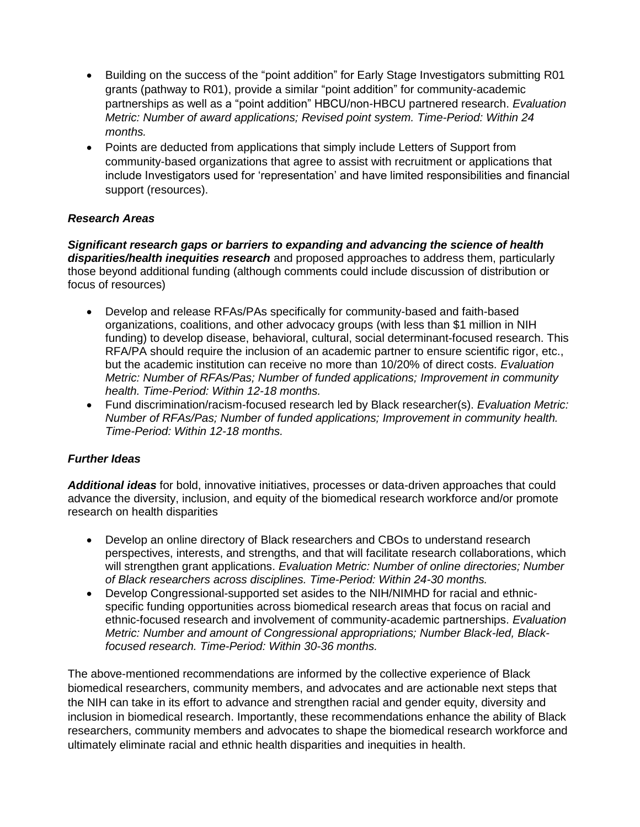- Building on the success of the "point addition" for Early Stage Investigators submitting R01 grants (pathway to R01), provide a similar "point addition" for community-academic partnerships as well as a "point addition" HBCU/non-HBCU partnered research. *Evaluation Metric: Number of award applications; Revised point system. Time-Period: Within 24 months.*
- Points are deducted from applications that simply include Letters of Support from community-based organizations that agree to assist with recruitment or applications that include Investigators used for 'representation' and have limited responsibilities and financial support (resources).

# *Research Areas*

*Significant research gaps or barriers to expanding and advancing the science of health disparities/health inequities research* and proposed approaches to address them, particularly those beyond additional funding (although comments could include discussion of distribution or focus of resources)

- Develop and release RFAs/PAs specifically for community-based and faith-based organizations, coalitions, and other advocacy groups (with less than \$1 million in NIH funding) to develop disease, behavioral, cultural, social determinant-focused research. This RFA/PA should require the inclusion of an academic partner to ensure scientific rigor, etc., but the academic institution can receive no more than 10/20% of direct costs. *Evaluation Metric: Number of RFAs/Pas; Number of funded applications; Improvement in community health. Time-Period: Within 12-18 months.*
- Fund discrimination/racism-focused research led by Black researcher(s). *Evaluation Metric: Number of RFAs/Pas; Number of funded applications; Improvement in community health. Time-Period: Within 12-18 months.*

# *Further Ideas*

*Additional ideas* for bold, innovative initiatives, processes or data-driven approaches that could advance the diversity, inclusion, and equity of the biomedical research workforce and/or promote research on health disparities

- Develop an online directory of Black researchers and CBOs to understand research perspectives, interests, and strengths, and that will facilitate research collaborations, which will strengthen grant applications. *Evaluation Metric: Number of online directories; Number of Black researchers across disciplines. Time-Period: Within 24-30 months.*
- Develop Congressional-supported set asides to the NIH/NIMHD for racial and ethnicspecific funding opportunities across biomedical research areas that focus on racial and ethnic-focused research and involvement of community-academic partnerships. *Evaluation Metric: Number and amount of Congressional appropriations; Number Black-led, Blackfocused research. Time-Period: Within 30-36 months.*

The above-mentioned recommendations are informed by the collective experience of Black biomedical researchers, community members, and advocates and are actionable next steps that the NIH can take in its effort to advance and strengthen racial and gender equity, diversity and inclusion in biomedical research. Importantly, these recommendations enhance the ability of Black researchers, community members and advocates to shape the biomedical research workforce and ultimately eliminate racial and ethnic health disparities and inequities in health.